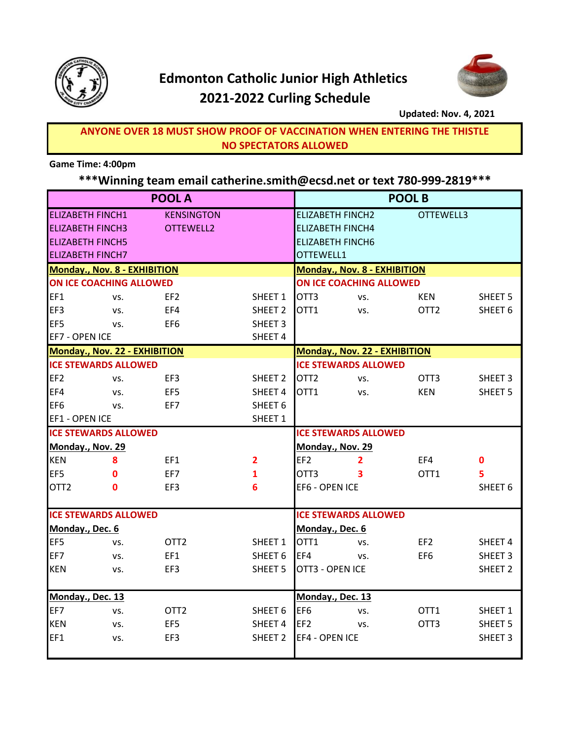

# **Edmonton Catholic Junior High Athletics 2021-2022 Curling Schedule**



#### **Updated: Nov. 4, 2021**

**NO SPECTATORS ALLOWED ANYONE OVER 18 MUST SHOW PROOF OF VACCINATION WHEN ENTERING THE THISTLE**

### **Game Time: 4:00pm**

### **\*\*\*Winning team email catherine.smith@ecsd.net or text 780-999-2819\*\*\***

|                                      |     | <b>POOL A</b>     | <b>POOL B</b>                 |                                      |     |                  |                    |  |
|--------------------------------------|-----|-------------------|-------------------------------|--------------------------------------|-----|------------------|--------------------|--|
| <b>ELIZABETH FINCH1</b>              |     | <b>KENSINGTON</b> |                               | <b>ELIZABETH FINCH2</b>              |     | OTTEWELL3        |                    |  |
| <b>ELIZABETH FINCH3</b><br>OTTEWELL2 |     |                   | <b>ELIZABETH FINCH4</b>       |                                      |     |                  |                    |  |
| <b>ELIZABETH FINCH5</b>              |     |                   |                               | <b>ELIZABETH FINCH6</b>              |     |                  |                    |  |
| <b>ELIZABETH FINCH7</b>              |     |                   | OTTEWELL1                     |                                      |     |                  |                    |  |
| Monday., Nov. 8 - EXHIBITION         |     |                   | Monday., Nov. 8 - EXHIBITION  |                                      |     |                  |                    |  |
| ON ICE COACHING ALLOWED              |     |                   | ON ICE COACHING ALLOWED       |                                      |     |                  |                    |  |
| EF1                                  | VS. | EF <sub>2</sub>   | SHEET 1                       | OTT <sub>3</sub>                     | VS. | <b>KEN</b>       | SHEET <sub>5</sub> |  |
| EF3                                  | VS. | EF4               | SHEET <sub>2</sub>            | OTT1                                 | VS. | OTT <sub>2</sub> | SHEET <sub>6</sub> |  |
| EF <sub>5</sub>                      | VS. | EF <sub>6</sub>   | SHEET <sub>3</sub>            |                                      |     |                  |                    |  |
| EF7 - OPEN ICE                       |     |                   | SHEET 4                       |                                      |     |                  |                    |  |
| Monday., Nov. 22 - EXHIBITION        |     |                   | Monday., Nov. 22 - EXHIBITION |                                      |     |                  |                    |  |
| <b>ICE STEWARDS ALLOWED</b>          |     |                   | <b>ICE STEWARDS ALLOWED</b>   |                                      |     |                  |                    |  |
| EF <sub>2</sub>                      | VS. | EF3               | SHEET <sub>2</sub>            | OTT <sub>2</sub>                     | VS. | OTT <sub>3</sub> | SHEET <sub>3</sub> |  |
| EF4                                  | VS. | EF5               | SHEET 4                       | OTT1                                 | VS. | <b>KEN</b>       | SHEET <sub>5</sub> |  |
| EF <sub>6</sub>                      | VS. | EF7               | SHEET <sub>6</sub>            |                                      |     |                  |                    |  |
| EF1 - OPEN ICE                       |     |                   | SHEET 1                       |                                      |     |                  |                    |  |
| <b>ICE STEWARDS ALLOWED</b>          |     |                   |                               | <b>ICE STEWARDS ALLOWED</b>          |     |                  |                    |  |
| Monday., Nov. 29                     |     |                   |                               | Monday., Nov. 29                     |     |                  |                    |  |
| <b>KEN</b>                           | 8   | EF1               | $\mathbf{2}$                  | EF <sub>2</sub>                      | 2   | EF4              | $\mathbf 0$        |  |
| EF5                                  | 0   | EF7               | 1                             | OTT3                                 | 3   | OTT1             | 5                  |  |
| OTT <sub>2</sub>                     | 0   | EF3               | 6                             | EF6 - OPEN ICE                       |     |                  | SHEET <sub>6</sub> |  |
|                                      |     |                   |                               |                                      |     |                  |                    |  |
| <b>ICE STEWARDS ALLOWED</b>          |     |                   |                               | <b>ICE STEWARDS ALLOWED</b>          |     |                  |                    |  |
| Monday., Dec. 6                      |     |                   | Monday., Dec. 6               |                                      |     |                  |                    |  |
| EF <sub>5</sub>                      | VS. | OTT <sub>2</sub>  | SHEET 1                       | OTT1                                 | VS. | EF <sub>2</sub>  | SHEET 4            |  |
| EF7                                  | VS. | EF1               | SHEET 6                       | EF4                                  | VS. | EF <sub>6</sub>  | SHEET <sub>3</sub> |  |
| <b>KEN</b>                           | VS. | EF3               | SHEET <sub>5</sub>            | OTT3 - OPEN ICE                      |     |                  | SHEET <sub>2</sub> |  |
|                                      |     |                   |                               |                                      |     |                  |                    |  |
| Monday., Dec. 13                     |     |                   |                               | Monday., Dec. 13                     |     |                  |                    |  |
| EF7                                  | VS. | OTT <sub>2</sub>  | SHEET 6                       | EF <sub>6</sub>                      | VS. | OTT1             | SHEET 1            |  |
| <b>KEN</b>                           | VS. | EF <sub>5</sub>   | SHEET 4                       | EF <sub>2</sub>                      | VS. | OTT <sub>3</sub> | SHEET <sub>5</sub> |  |
| EF1                                  | VS. | EF3               | SHEET <sub>2</sub>            | EF4 - OPEN ICE<br>SHEET <sub>3</sub> |     |                  |                    |  |
|                                      |     |                   |                               |                                      |     |                  |                    |  |